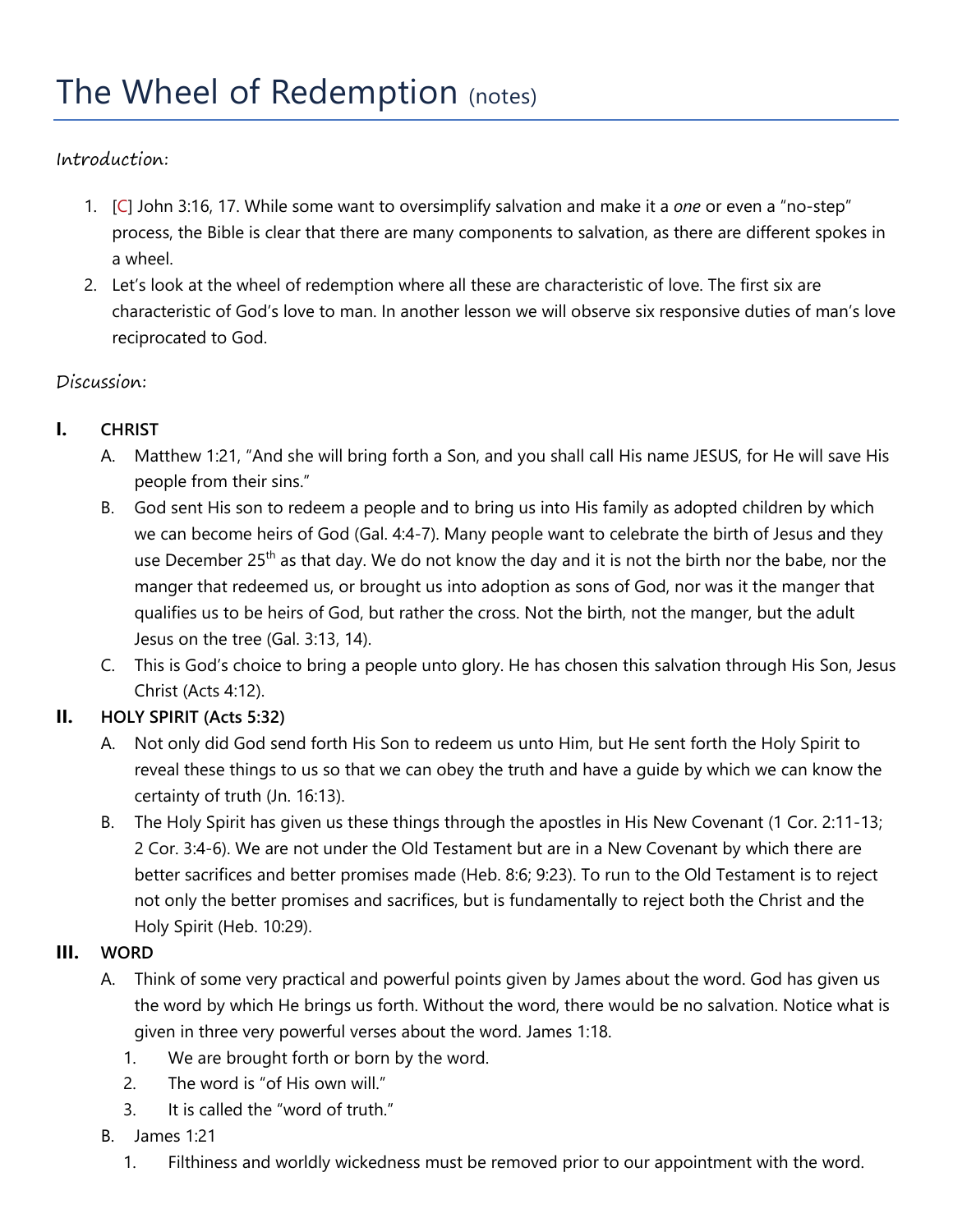## Introduction:

- 1. [C] John 3:16, 17. While some want to oversimplify salvation and make it a *one* or even a "no-step" process, the Bible is clear that there are many components to salvation, as there are different spokes in a wheel.
- 2. Let's look at the wheel of redemption where all these are characteristic of love. The first six are characteristic of God's love to man. In another lesson we will observe six responsive duties of man's love reciprocated to God.

## Discussion:

## **I. CHRIST**

- A. Matthew 1:21, "And she will bring forth a Son, and you shall call His name JESUS, for He will save His people from their sins."
- B. God sent His son to redeem a people and to bring us into His family as adopted children by which we can become heirs of God (Gal. 4:4-7). Many people want to celebrate the birth of Jesus and they use December 25<sup>th</sup> as that day. We do not know the day and it is not the birth nor the babe, nor the manger that redeemed us, or brought us into adoption as sons of God, nor was it the manger that qualifies us to be heirs of God, but rather the cross. Not the birth, not the manger, but the adult Jesus on the tree (Gal. 3:13, 14).
- C. This is God's choice to bring a people unto glory. He has chosen this salvation through His Son, Jesus Christ (Acts 4:12).

# **II. HOLY SPIRIT (Acts 5:32)**

- A. Not only did God send forth His Son to redeem us unto Him, but He sent forth the Holy Spirit to reveal these things to us so that we can obey the truth and have a guide by which we can know the certainty of truth (Jn. 16:13).
- B. The Holy Spirit has given us these things through the apostles in His New Covenant (1 Cor. 2:11-13; 2 Cor. 3:4-6). We are not under the Old Testament but are in a New Covenant by which there are better sacrifices and better promises made (Heb. 8:6; 9:23). To run to the Old Testament is to reject not only the better promises and sacrifices, but is fundamentally to reject both the Christ and the Holy Spirit (Heb. 10:29).

### **III. WORD**

- A. Think of some very practical and powerful points given by James about the word. God has given us the word by which He brings us forth. Without the word, there would be no salvation. Notice what is given in three very powerful verses about the word. James 1:18.
	- 1. We are brought forth or born by the word.
	- 2. The word is "of His own will."
	- 3. It is called the "word of truth."
- B. James 1:21
	- 1. Filthiness and worldly wickedness must be removed prior to our appointment with the word.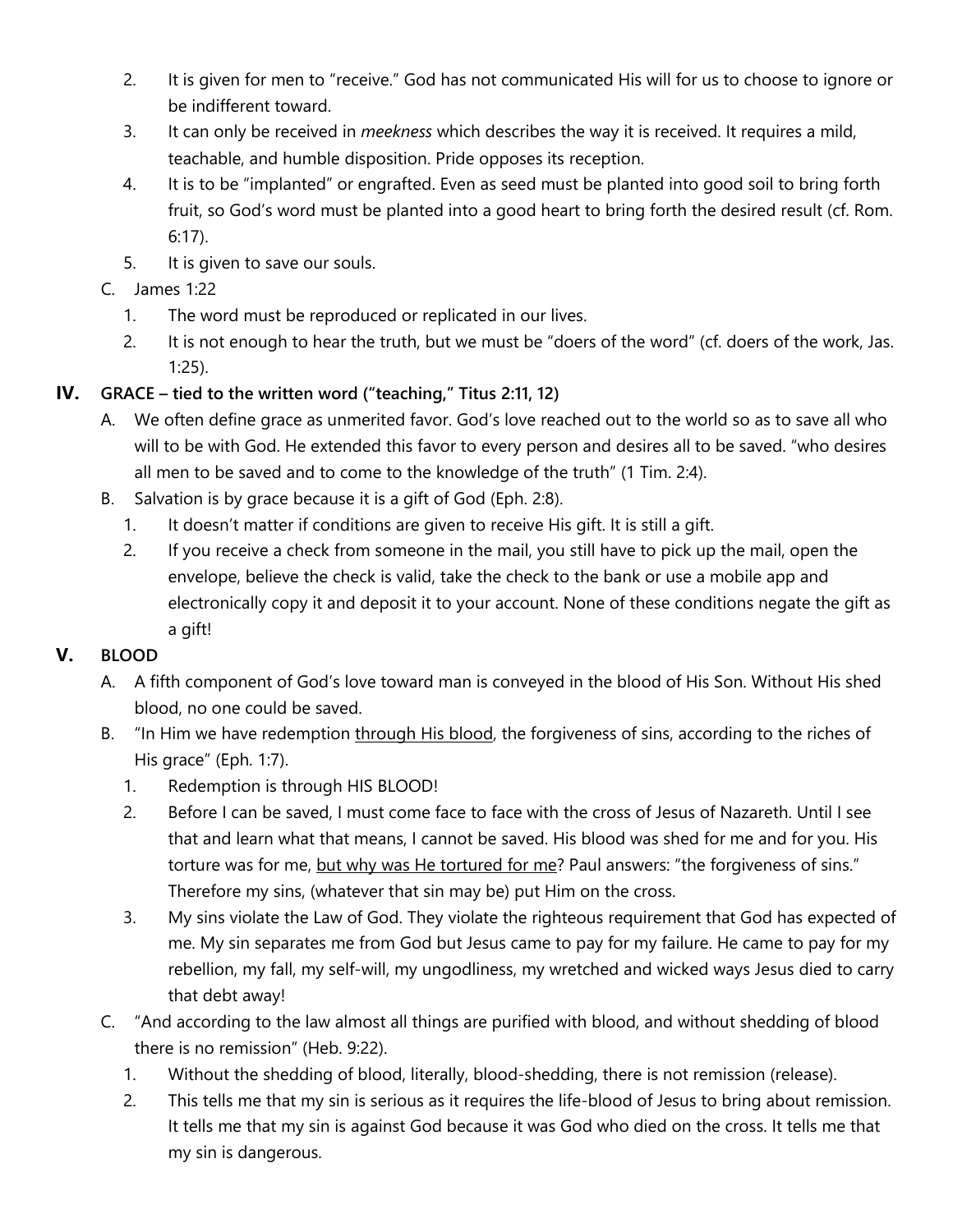- 2. It is given for men to "receive." God has not communicated His will for us to choose to ignore or be indifferent toward.
- 3. It can only be received in *meekness* which describes the way it is received. It requires a mild, teachable, and humble disposition. Pride opposes its reception.
- 4. It is to be "implanted" or engrafted. Even as seed must be planted into good soil to bring forth fruit, so God's word must be planted into a good heart to bring forth the desired result (cf. Rom. 6:17).
- 5. It is given to save our souls.
- C. James 1:22
	- 1. The word must be reproduced or replicated in our lives.
	- 2. It is not enough to hear the truth, but we must be "doers of the word" (cf. doers of the work, Jas. 1:25).

## **IV. GRACE – tied to the written word ("teaching," Titus 2:11, 12)**

- A. We often define grace as unmerited favor. God's love reached out to the world so as to save all who will to be with God. He extended this favor to every person and desires all to be saved. "who desires all men to be saved and to come to the knowledge of the truth" (1 Tim. 2:4).
- B. Salvation is by grace because it is a gift of God (Eph. 2:8).
	- 1. It doesn't matter if conditions are given to receive His gift. It is still a gift.
	- 2. If you receive a check from someone in the mail, you still have to pick up the mail, open the envelope, believe the check is valid, take the check to the bank or use a mobile app and electronically copy it and deposit it to your account. None of these conditions negate the gift as a gift!

# **V. BLOOD**

- A. A fifth component of God's love toward man is conveyed in the blood of His Son. Without His shed blood, no one could be saved.
- B. "In Him we have redemption through His blood, the forgiveness of sins, according to the riches of His grace" (Eph. 1:7).
	- 1. Redemption is through HIS BLOOD!
	- 2. Before I can be saved, I must come face to face with the cross of Jesus of Nazareth. Until I see that and learn what that means, I cannot be saved. His blood was shed for me and for you. His torture was for me, but why was He tortured for me? Paul answers: "the forgiveness of sins." Therefore my sins, (whatever that sin may be) put Him on the cross.
	- 3. My sins violate the Law of God. They violate the righteous requirement that God has expected of me. My sin separates me from God but Jesus came to pay for my failure. He came to pay for my rebellion, my fall, my self-will, my ungodliness, my wretched and wicked ways Jesus died to carry that debt away!
- C. "And according to the law almost all things are purified with blood, and without shedding of blood there is no remission" (Heb. 9:22).
	- 1. Without the shedding of blood, literally, blood-shedding, there is not remission (release).
	- 2. This tells me that my sin is serious as it requires the life-blood of Jesus to bring about remission. It tells me that my sin is against God because it was God who died on the cross. It tells me that my sin is dangerous.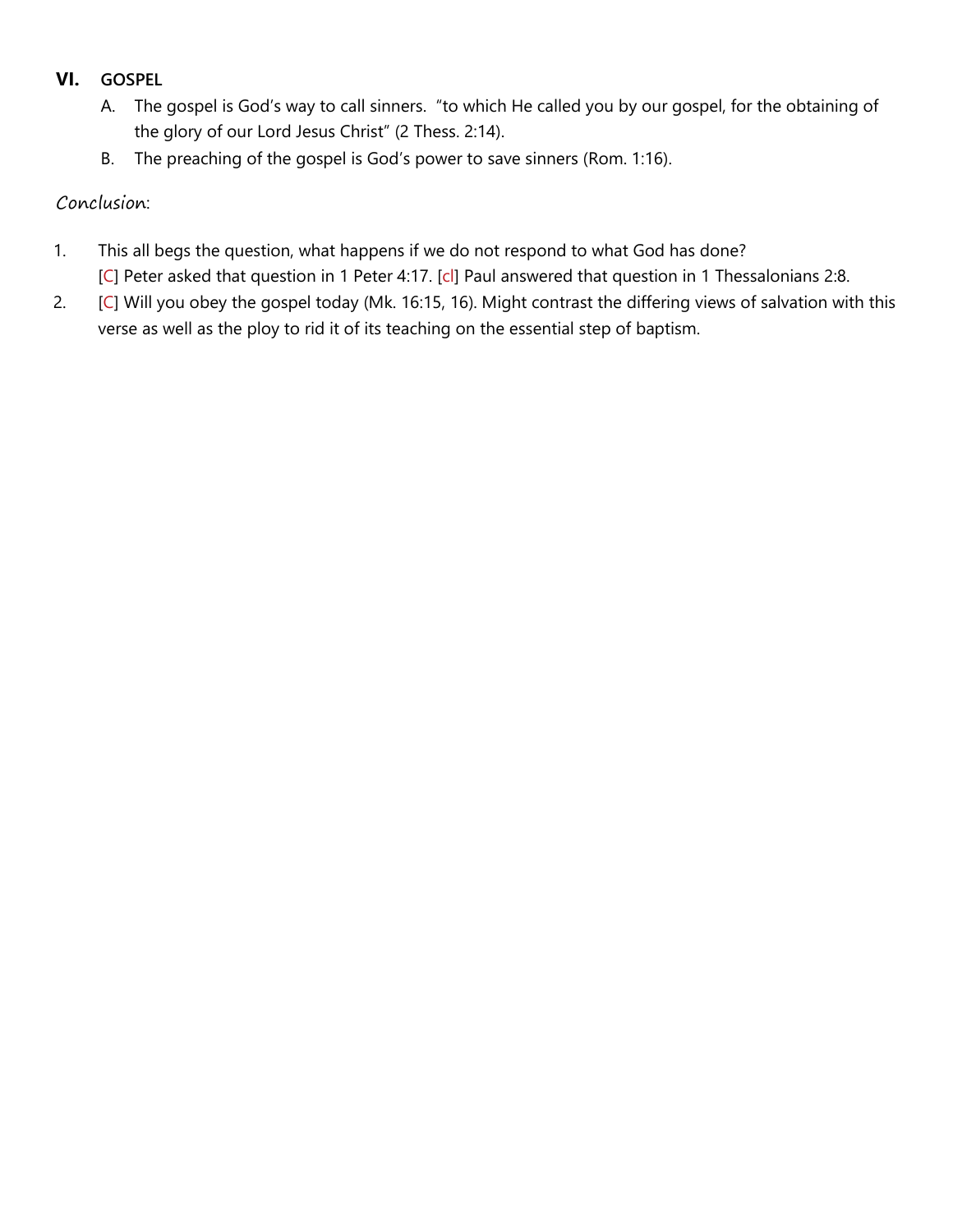## **VI. GOSPEL**

- A. The gospel is God's way to call sinners. "to which He called you by our gospel, for the obtaining of the glory of our Lord Jesus Christ" (2 Thess. 2:14).
- B. The preaching of the gospel is God's power to save sinners (Rom. 1:16).

## Conclusion:

- 1. This all begs the question, what happens if we do not respond to what God has done? [C] Peter asked that question in 1 Peter 4:17. [cl] Paul answered that question in 1 Thessalonians 2:8.
- 2. [C] Will you obey the gospel today (Mk. 16:15, 16). Might contrast the differing views of salvation with this verse as well as the ploy to rid it of its teaching on the essential step of baptism.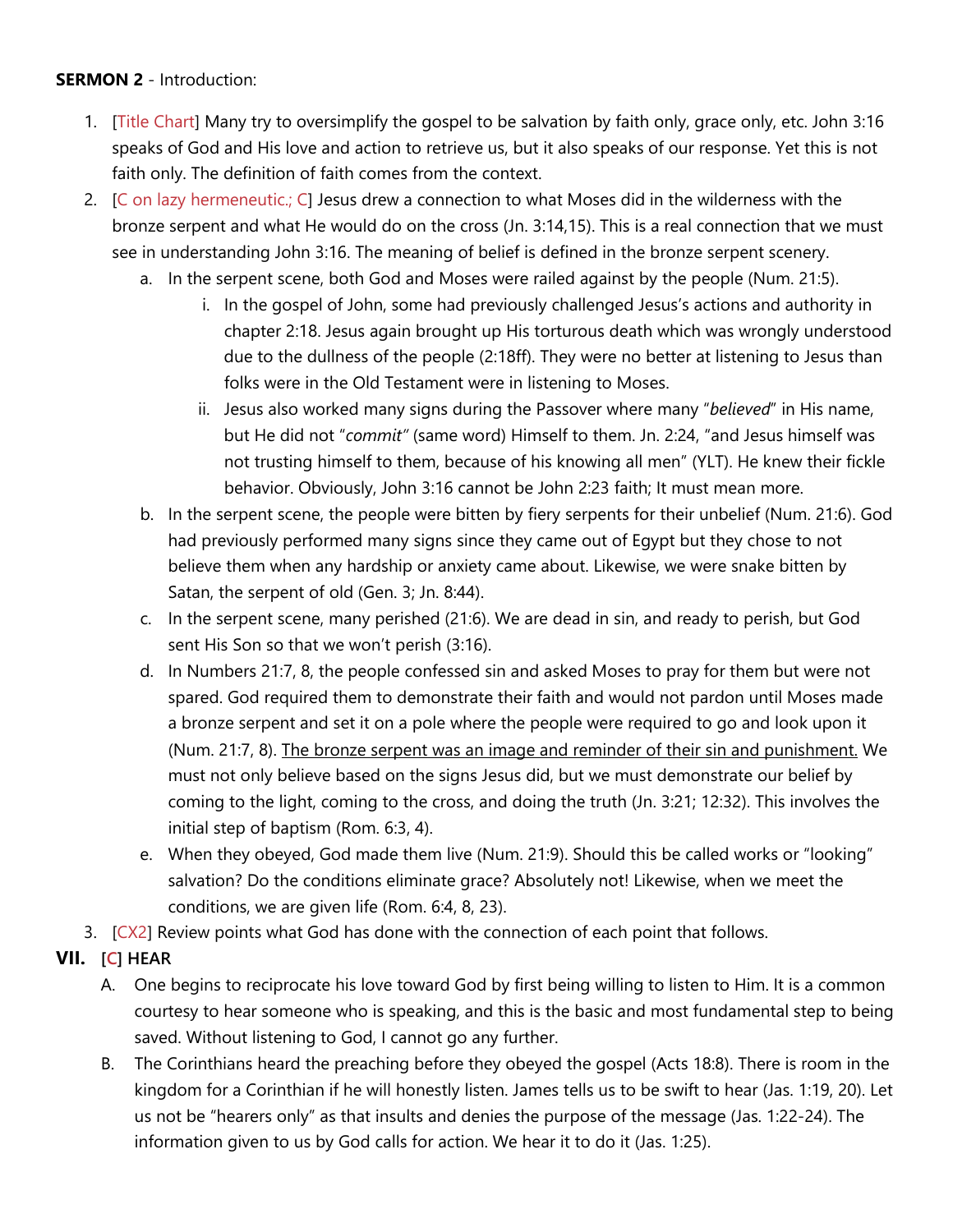#### **SERMON 2** - Introduction:

- 1. [Title Chart] Many try to oversimplify the gospel to be salvation by faith only, grace only, etc. John 3:16 speaks of God and His love and action to retrieve us, but it also speaks of our response. Yet this is not faith only. The definition of faith comes from the context.
- 2. [C on lazy hermeneutic.; C] Jesus drew a connection to what Moses did in the wilderness with the bronze serpent and what He would do on the cross (Jn. 3:14,15). This is a real connection that we must see in understanding John 3:16. The meaning of belief is defined in the bronze serpent scenery.
	- a. In the serpent scene, both God and Moses were railed against by the people (Num. 21:5).
		- i. In the gospel of John, some had previously challenged Jesus's actions and authority in chapter 2:18. Jesus again brought up His torturous death which was wrongly understood due to the dullness of the people (2:18ff). They were no better at listening to Jesus than folks were in the Old Testament were in listening to Moses.
		- ii. Jesus also worked many signs during the Passover where many "*believed*" in His name, but He did not "*commit"* (same word) Himself to them. Jn. 2:24, "and Jesus himself was not trusting himself to them, because of his knowing all men" (YLT). He knew their fickle behavior. Obviously, John 3:16 cannot be John 2:23 faith; It must mean more.
	- b. In the serpent scene, the people were bitten by fiery serpents for their unbelief (Num. 21:6). God had previously performed many signs since they came out of Egypt but they chose to not believe them when any hardship or anxiety came about. Likewise, we were snake bitten by Satan, the serpent of old (Gen. 3; Jn. 8:44).
	- c. In the serpent scene, many perished (21:6). We are dead in sin, and ready to perish, but God sent His Son so that we won't perish (3:16).
	- d. In Numbers 21:7, 8, the people confessed sin and asked Moses to pray for them but were not spared. God required them to demonstrate their faith and would not pardon until Moses made a bronze serpent and set it on a pole where the people were required to go and look upon it (Num. 21:7, 8). The bronze serpent was an image and reminder of their sin and punishment. We must not only believe based on the signs Jesus did, but we must demonstrate our belief by coming to the light, coming to the cross, and doing the truth (Jn. 3:21; 12:32). This involves the initial step of baptism (Rom. 6:3, 4).
	- e. When they obeyed, God made them live (Num. 21:9). Should this be called works or "looking" salvation? Do the conditions eliminate grace? Absolutely not! Likewise, when we meet the conditions, we are given life (Rom. 6:4, 8, 23).
- 3. [CX2] Review points what God has done with the connection of each point that follows.

### **VII. [C] HEAR**

- A. One begins to reciprocate his love toward God by first being willing to listen to Him. It is a common courtesy to hear someone who is speaking, and this is the basic and most fundamental step to being saved. Without listening to God, I cannot go any further.
- B. The Corinthians heard the preaching before they obeyed the gospel (Acts 18:8). There is room in the kingdom for a Corinthian if he will honestly listen. James tells us to be swift to hear (Jas. 1:19, 20). Let us not be "hearers only" as that insults and denies the purpose of the message (Jas. 1:22-24). The information given to us by God calls for action. We hear it to do it (Jas. 1:25).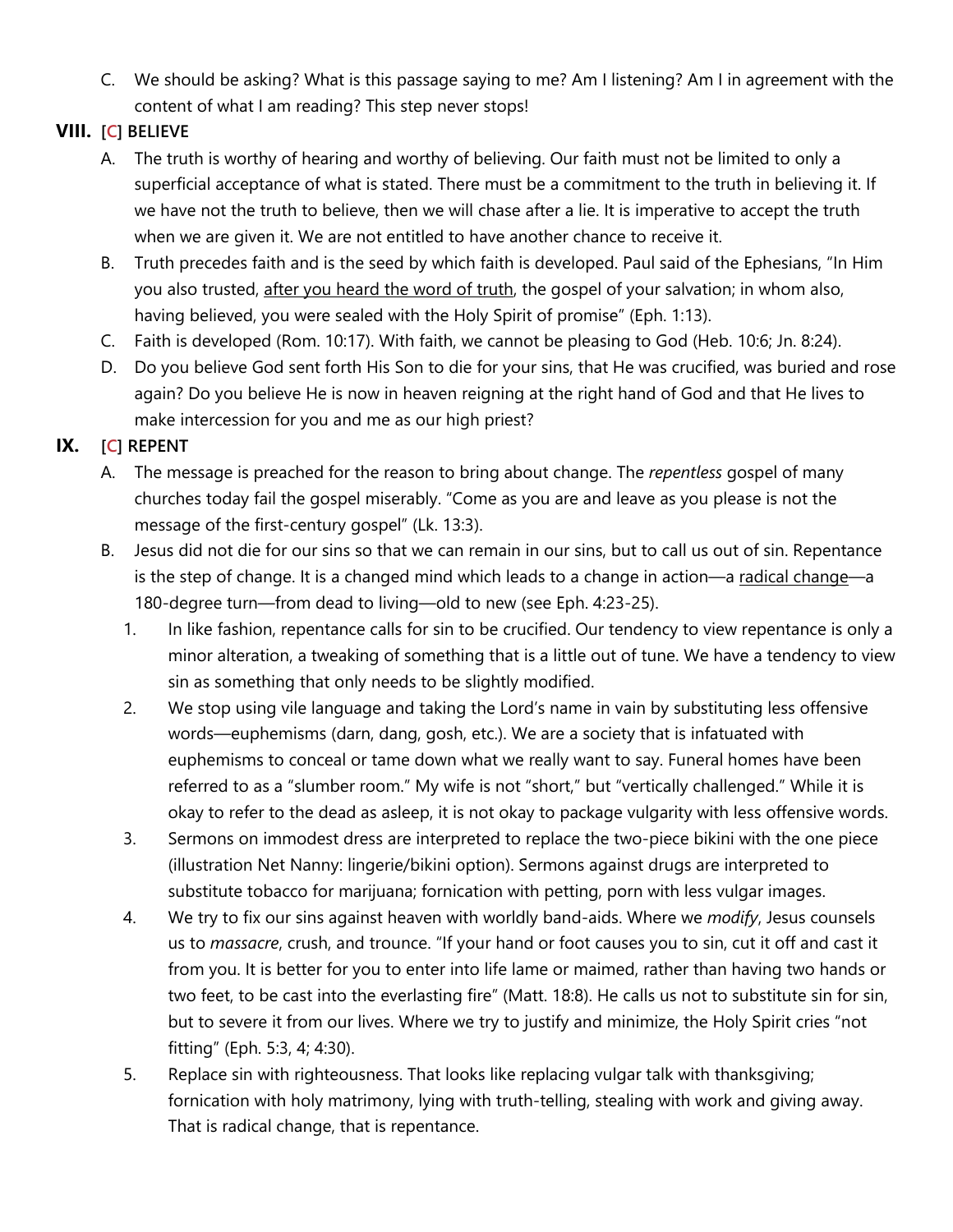C. We should be asking? What is this passage saying to me? Am I listening? Am I in agreement with the content of what I am reading? This step never stops!

# **VIII. [C] BELIEVE**

- A. The truth is worthy of hearing and worthy of believing. Our faith must not be limited to only a superficial acceptance of what is stated. There must be a commitment to the truth in believing it. If we have not the truth to believe, then we will chase after a lie. It is imperative to accept the truth when we are given it. We are not entitled to have another chance to receive it.
- B. Truth precedes faith and is the seed by which faith is developed. Paul said of the Ephesians, "In Him you also trusted, after you heard the word of truth, the gospel of your salvation; in whom also, having believed, you were sealed with the Holy Spirit of promise" (Eph. 1:13).
- C. Faith is developed (Rom. 10:17). With faith, we cannot be pleasing to God (Heb. 10:6; Jn. 8:24).
- D. Do you believe God sent forth His Son to die for your sins, that He was crucified, was buried and rose again? Do you believe He is now in heaven reigning at the right hand of God and that He lives to make intercession for you and me as our high priest?

# **IX. [C] REPENT**

- A. The message is preached for the reason to bring about change. The *repentless* gospel of many churches today fail the gospel miserably. "Come as you are and leave as you please is not the message of the first-century gospel" (Lk. 13:3).
- B. Jesus did not die for our sins so that we can remain in our sins, but to call us out of sin. Repentance is the step of change. It is a changed mind which leads to a change in action—a radical change—a 180-degree turn—from dead to living—old to new (see Eph. 4:23-25).
	- 1. In like fashion, repentance calls for sin to be crucified. Our tendency to view repentance is only a minor alteration, a tweaking of something that is a little out of tune. We have a tendency to view sin as something that only needs to be slightly modified.
	- 2. We stop using vile language and taking the Lord's name in vain by substituting less offensive words—euphemisms (darn, dang, gosh, etc.). We are a society that is infatuated with euphemisms to conceal or tame down what we really want to say. Funeral homes have been referred to as a "slumber room." My wife is not "short," but "vertically challenged." While it is okay to refer to the dead as asleep, it is not okay to package vulgarity with less offensive words.
	- 3. Sermons on immodest dress are interpreted to replace the two-piece bikini with the one piece (illustration Net Nanny: lingerie/bikini option). Sermons against drugs are interpreted to substitute tobacco for marijuana; fornication with petting, porn with less vulgar images.
	- 4. We try to fix our sins against heaven with worldly band-aids. Where we *modify*, Jesus counsels us to *massacre*, crush, and trounce. "If your hand or foot causes you to sin, cut it off and cast it from you. It is better for you to enter into life lame or maimed, rather than having two hands or two feet, to be cast into the everlasting fire" (Matt. 18:8). He calls us not to substitute sin for sin, but to severe it from our lives. Where we try to justify and minimize, the Holy Spirit cries "not fitting" (Eph. 5:3, 4; 4:30).
	- 5. Replace sin with righteousness. That looks like replacing vulgar talk with thanksgiving; fornication with holy matrimony, lying with truth-telling, stealing with work and giving away. That is radical change, that is repentance.